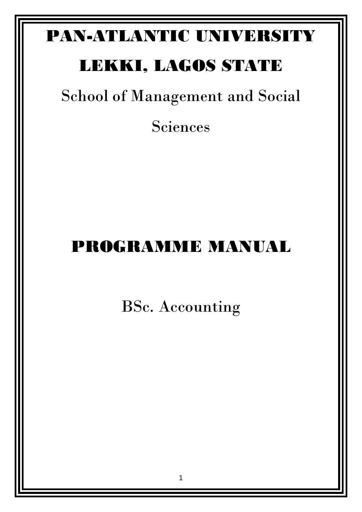# PAN-ATLANTIC UNIVERSITY

# LEKKI, LAGOS STATE

School of Management and Social

Sciences

# PROGRAMME MANUAL

BSc. Accounting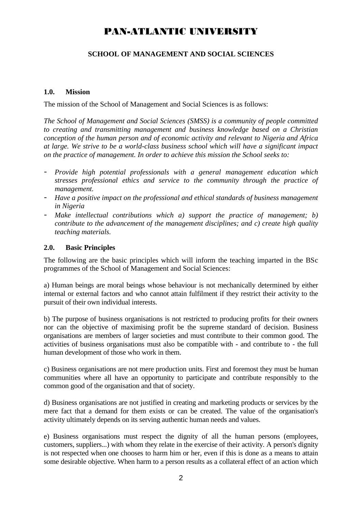# PAN-ATLANTIC UNIVERSITY

# **SCHOOL OF MANAGEMENT AND SOCIAL SCIENCES**

# **1.0. Mission**

The mission of the School of Management and Social Sciences is as follows:

*The School of Management and Social Sciences (SMSS) is a community of people committed to creating and transmitting management and business knowledge based on a Christian conception of the human person and of economic activity and relevant to Nigeria and Africa at large. We strive to be a world-class business school which will have a significant impact on the practice of management. In order to achieve this mission the School seeks to:*

- *Provide high potential professionals with a general management education which stresses professional ethics and service to the community through the practice of management.*
- *Have a positive impact on the professional and ethical standards of business management in Nigeria*
- *Make intellectual contributions which a) support the practice of management; b) contribute to the advancement of the management disciplines; and c) create high quality teaching materials.*

## **2.0. Basic Principles**

The following are the basic principles which will inform the teaching imparted in the BSc programmes of the School of Management and Social Sciences:

a) Human beings are moral beings whose behaviour is not mechanically determined by either internal or external factors and who cannot attain fulfilment if they restrict their activity to the pursuit of their own individual interests.

b) The purpose of business organisations is not restricted to producing profits for their owners nor can the objective of maximising profit be the supreme standard of decision. Business organisations are members of larger societies and must contribute to their common good. The activities of business organisations must also be compatible with - and contribute to - the full human development of those who work in them.

c) Business organisations are not mere production units. First and foremost they must be human communities where all have an opportunity to participate and contribute responsibly to the common good of the organisation and that of society.

d) Business organisations are not justified in creating and marketing products or services by the mere fact that a demand for them exists or can be created. The value of the organisation's activity ultimately depends on its serving authentic human needs and values.

e) Business organisations must respect the dignity of all the human persons (employees, customers, suppliers...) with whom they relate in the exercise of their activity. A person's dignity is not respected when one chooses to harm him or her, even if this is done as a means to attain some desirable objective. When harm to a person results as a collateral effect of an action which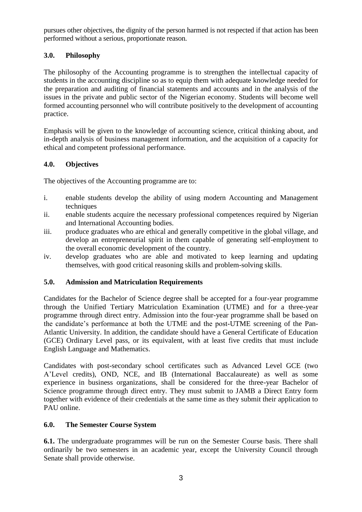pursues other objectives, the dignity of the person harmed is not respected if that action has been performed without a serious, proportionate reason.

# **3.0. Philosophy**

The philosophy of the Accounting programme is to strengthen the intellectual capacity of students in the accounting discipline so as to equip them with adequate knowledge needed for the preparation and auditing of financial statements and accounts and in the analysis of the issues in the private and public sector of the Nigerian economy. Students will become well formed accounting personnel who will contribute positively to the development of accounting practice.

Emphasis will be given to the knowledge of accounting science, critical thinking about, and in-depth analysis of business management information, and the acquisition of a capacity for ethical and competent professional performance.

# **4.0. Objectives**

The objectives of the Accounting programme are to:

- i. enable students develop the ability of using modern Accounting and Management techniques
- ii. enable students acquire the necessary professional competences required by Nigerian and International Accounting bodies.
- iii. produce graduates who are ethical and generally competitive in the global village, and develop an entrepreneurial spirit in them capable of generating self-employment to the overall economic development of the country.
- iv. develop graduates who are able and motivated to keep learning and updating themselves, with good critical reasoning skills and problem-solving skills.

# **5.0. Admission and Matriculation Requirements**

Candidates for the Bachelor of Science degree shall be accepted for a four-year programme through the Unified Tertiary Matriculation Examination (UTME) and for a three-year programme through direct entry. Admission into the four-year programme shall be based on the candidate's performance at both the UTME and the post-UTME screening of the Pan-Atlantic University. In addition, the candidate should have a General Certificate of Education (GCE) Ordinary Level pass, or its equivalent, with at least five credits that must include English Language and Mathematics.

Candidates with post-secondary school certificates such as Advanced Level GCE (two A'Level credits), OND, NCE, and IB (International Baccalaureate) as well as some experience in business organizations, shall be considered for the three-year Bachelor of Science programme through direct entry. They must submit to JAMB a Direct Entry form together with evidence of their credentials at the same time as they submit their application to PAU online.

# **6.0. The Semester Course System**

**6.1.** The undergraduate programmes will be run on the Semester Course basis. There shall ordinarily be two semesters in an academic year, except the University Council through Senate shall provide otherwise.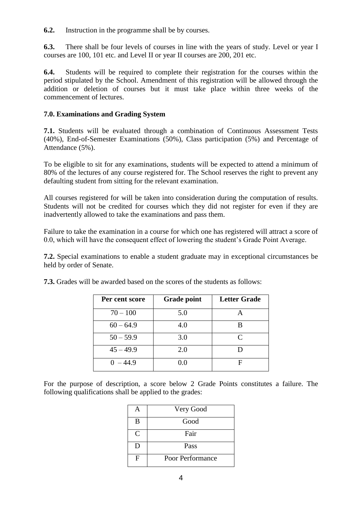**6.2.** Instruction in the programme shall be by courses.

**6.3.** There shall be four levels of courses in line with the years of study. Level or year I courses are 100, 101 etc. and Level II or year II courses are 200, 201 etc.

**6.4.** Students will be required to complete their registration for the courses within the period stipulated by the School. Amendment of this registration will be allowed through the addition or deletion of courses but it must take place within three weeks of the commencement of lectures.

# **7.0. Examinations and Grading System**

**7.1.** Students will be evaluated through a combination of Continuous Assessment Tests (40%), End-of-Semester Examinations (50%), Class participation (5%) and Percentage of Attendance (5%).

To be eligible to sit for any examinations, students will be expected to attend a minimum of 80% of the lectures of any course registered for. The School reserves the right to prevent any defaulting student from sitting for the relevant examination.

All courses registered for will be taken into consideration during the computation of results. Students will not be credited for courses which they did not register for even if they are inadvertently allowed to take the examinations and pass them.

Failure to take the examination in a course for which one has registered will attract a score of 0.0, which will have the consequent effect of lowering the student's Grade Point Average.

**7.2.** Special examinations to enable a student graduate may in exceptional circumstances be held by order of Senate.

| Per cent score | <b>Grade point</b> | <b>Letter Grade</b> |
|----------------|--------------------|---------------------|
| $70 - 100$     | 5.0                |                     |
| $60 - 64.9$    | 4.0                |                     |
| $50 - 59.9$    | 3.0                | $\subset$           |
| $45 - 49.9$    | 2.0                |                     |
| $0 - 44.9$     | 0.0                |                     |

**7.3.** Grades will be awarded based on the scores of the students as follows:

For the purpose of description, a score below 2 Grade Points constitutes a failure. The following qualifications shall be applied to the grades:

|   | Very Good        |
|---|------------------|
| B | Good             |
| C | Fair             |
| D | Pass             |
| F | Poor Performance |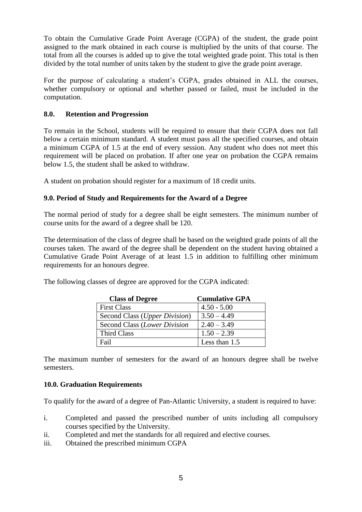To obtain the Cumulative Grade Point Average (CGPA) of the student, the grade point assigned to the mark obtained in each course is multiplied by the units of that course. The total from all the courses is added up to give the total weighted grade point. This total is then divided by the total number of units taken by the student to give the grade point average.

For the purpose of calculating a student's CGPA, grades obtained in ALL the courses, whether compulsory or optional and whether passed or failed, must be included in the computation.

# **8.0. Retention and Progression**

To remain in the School, students will be required to ensure that their CGPA does not fall below a certain minimum standard. A student must pass all the specified courses, and obtain a minimum CGPA of 1.5 at the end of every session. Any student who does not meet this requirement will be placed on probation. If after one year on probation the CGPA remains below 1.5, the student shall be asked to withdraw.

A student on probation should register for a maximum of 18 credit units.

# **9.0. Period of Study and Requirements for the Award of a Degree**

The normal period of study for a degree shall be eight semesters. The minimum number of course units for the award of a degree shall be 120.

The determination of the class of degree shall be based on the weighted grade points of all the courses taken. The award of the degree shall be dependent on the student having obtained a Cumulative Grade Point Average of at least 1.5 in addition to fulfilling other minimum requirements for an honours degree.

The following classes of degree are approved for the CGPA indicated:

| <b>Class of Degree</b>        | <b>Cumulative GPA</b> |
|-------------------------------|-----------------------|
| <b>First Class</b>            | $4.50 - 5.00$         |
| Second Class (Upper Division) | $3.50 - 4.49$         |
| Second Class (Lower Division  | $2.40 - 3.49$         |
| Third Class                   | $1.50 - 2.39$         |
| Fail                          | Less than 1.5         |

The maximum number of semesters for the award of an honours degree shall be twelve semesters.

# **10.0. Graduation Requirements**

To qualify for the award of a degree of Pan-Atlantic University, a student is required to have:

- i. Completed and passed the prescribed number of units including all compulsory courses specified by the University.
- ii. Completed and met the standards for all required and elective courses.
- iii. Obtained the prescribed minimum CGPA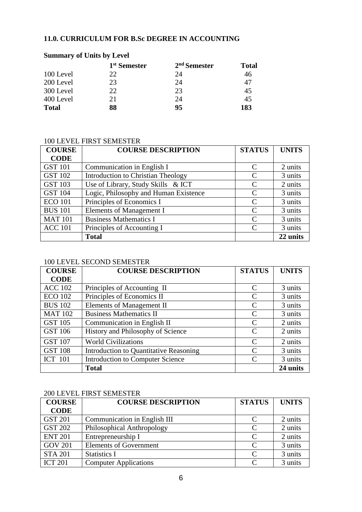# **11.0. CURRICULUM FOR B.Sc DEGREE IN ACCOUNTING**

### **Summary of Units by Level 1 st Semester 2 nd Semester Total** 100 Level 22 24 46 200 Level 23 24 47 300 Level 22 23 45 400 Level 21 24 45 **Total 88 95 183**

### 100 LEVEL FIRST SEMESTER

| <b>COURSE</b>  | <b>COURSE DESCRIPTION</b>                 | <b>STATUS</b>               | <b>UNITS</b> |
|----------------|-------------------------------------------|-----------------------------|--------------|
| <b>CODE</b>    |                                           |                             |              |
| <b>GST 101</b> | Communication in English I                | C                           | 2 units      |
| <b>GST 102</b> | <b>Introduction to Christian Theology</b> | C                           | 3 units      |
| <b>GST 103</b> | Use of Library, Study Skills & ICT        | $\mathcal{C}_{\mathcal{C}}$ | 2 units      |
| <b>GST 104</b> | Logic, Philosophy and Human Existence     | C                           | 3 units      |
| <b>ECO 101</b> | Principles of Economics I                 | $\mathcal{C}$               | 3 units      |
| <b>BUS 101</b> | Elements of Management I                  | $\mathcal{C}$               | 3 units      |
| <b>MAT 101</b> | <b>Business Mathematics I</b>             | $\mathcal{C}$               | 3 units      |
| <b>ACC 101</b> | Principles of Accounting I                | $\mathcal{C}_{\mathcal{C}}$ | 3 units      |
|                | <b>Total</b>                              |                             | 22 units     |

### 100 LEVEL SECOND SEMESTER

| <b>COURSE</b>  | <b>COURSE DESCRIPTION</b>                     | <b>STATUS</b>               | <b>UNITS</b> |
|----------------|-----------------------------------------------|-----------------------------|--------------|
| <b>CODE</b>    |                                               |                             |              |
| <b>ACC 102</b> | Principles of Accounting II                   | C                           | 3 units      |
| <b>ECO 102</b> | Principles of Economics II                    | C                           | 3 units      |
| <b>BUS 102</b> | Elements of Management II                     | C                           | 3 units      |
| <b>MAT 102</b> | <b>Business Mathematics II</b>                | C                           | 3 units      |
| <b>GST 105</b> | Communication in English II                   | $\mathcal{C}_{\mathcal{C}}$ | 2 units      |
| <b>GST 106</b> | History and Philosophy of Science             | C                           | 2 units      |
| <b>GST 107</b> | <b>World Civilizations</b>                    | C                           | 2 units      |
| <b>GST 108</b> | <b>Introduction to Quantitative Reasoning</b> | $\mathcal{C}_{\mathcal{C}}$ | 3 units      |
| <b>ICT</b> 101 | <b>Introduction to Computer Science</b>       | C                           | 3 units      |
|                | <b>Total</b>                                  |                             | 24 units     |

### 200 LEVEL FIRST SEMESTER

| <b>COURSE</b>  | <b>COURSE DESCRIPTION</b>     | <b>STATUS</b>               | <b>UNITS</b> |
|----------------|-------------------------------|-----------------------------|--------------|
| <b>CODE</b>    |                               |                             |              |
| <b>GST 201</b> | Communication in English III  | $\mathcal{C}_{\mathcal{C}}$ | 2 units      |
| <b>GST 202</b> | Philosophical Anthropology    | C                           | 2 units      |
| <b>ENT 201</b> | Entrepreneurship I            | $\mathcal{C}$               | 2 units      |
| <b>GOV 201</b> | <b>Elements of Government</b> | $\mathcal{C}_{\mathcal{C}}$ | 3 units      |
| <b>STA 201</b> | <b>Statistics I</b>           | $\mathcal{C}_{\mathcal{C}}$ | 3 units      |
| <b>ICT 201</b> | <b>Computer Applications</b>  |                             | 3 units      |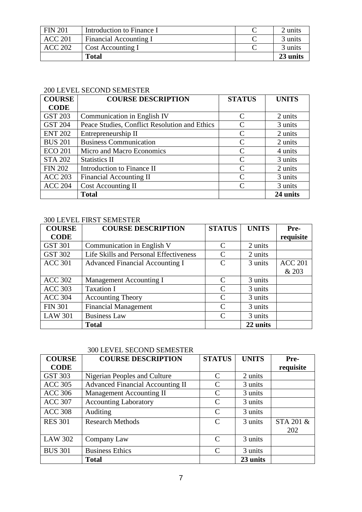| <b>FIN 201</b> | Introduction to Finance I | 2 units  |
|----------------|---------------------------|----------|
| <b>ACC 201</b> | Financial Accounting I    | 3 units  |
| <b>ACC 202</b> | Cost Accounting I         | 3 units  |
|                | <b>Total</b>              | 23 units |

# 200 LEVEL SECOND SEMESTER

| <b>COURSE</b>  | <b>COURSE DESCRIPTION</b>                     | <b>STATUS</b>               | <b>UNITS</b> |
|----------------|-----------------------------------------------|-----------------------------|--------------|
| <b>CODE</b>    |                                               |                             |              |
| <b>GST 203</b> | Communication in English IV                   | C                           | 2 units      |
| <b>GST 204</b> | Peace Studies, Conflict Resolution and Ethics | C                           | 3 units      |
| <b>ENT 202</b> | Entrepreneurship II                           | C                           | 2 units      |
| <b>BUS 201</b> | <b>Business Communication</b>                 | C                           | 2 units      |
| <b>ECO 201</b> | Micro and Macro Economics                     | C                           | 4 units      |
| <b>STA 202</b> | <b>Statistics II</b>                          | C                           | 3 units      |
| <b>FIN 202</b> | Introduction to Finance II                    | $\mathcal{C}$               | 2 units      |
| <b>ACC 203</b> | <b>Financial Accounting II</b>                | C                           | 3 units      |
| <b>ACC 204</b> | Cost Accounting II                            | $\mathcal{C}_{\mathcal{C}}$ | 3 units      |
|                | <b>Total</b>                                  |                             | 24 units     |

# 300 LEVEL FIRST SEMESTER

| <b>COURSE</b>  | <b>COURSE DESCRIPTION</b>              | <b>STATUS</b> | <b>UNITS</b> | Pre-           |
|----------------|----------------------------------------|---------------|--------------|----------------|
| <b>CODE</b>    |                                        |               |              | requisite      |
| <b>GST 301</b> | Communication in English V             | C             | 2 units      |                |
| <b>GST 302</b> | Life Skills and Personal Effectiveness | C             | 2 units      |                |
| <b>ACC 301</b> | <b>Advanced Financial Accounting I</b> | $\mathcal{C}$ | 3 units      | <b>ACC 201</b> |
|                |                                        |               |              | & 203          |
| <b>ACC 302</b> | <b>Management Accounting I</b>         | C             | 3 units      |                |
| <b>ACC 303</b> | <b>Taxation I</b>                      | $\mathcal{C}$ | 3 units      |                |
| <b>ACC 304</b> | <b>Accounting Theory</b>               | $\mathcal{C}$ | 3 units      |                |
| <b>FIN 301</b> | <b>Financial Management</b>            | C             | 3 units      |                |
| <b>LAW 301</b> | <b>Business Law</b>                    | $\Gamma$      | 3 units      |                |
|                | <b>Total</b>                           |               | 22 units     |                |

# 300 LEVEL SECOND SEMESTER

| <b>COURSE</b>  | <b>COURSE DESCRIPTION</b>               | <b>STATUS</b>               | <b>UNITS</b> | Pre-      |
|----------------|-----------------------------------------|-----------------------------|--------------|-----------|
| <b>CODE</b>    |                                         |                             |              | requisite |
| <b>GST 303</b> | Nigerian Peoples and Culture            | C                           | 2 units      |           |
| <b>ACC 305</b> | <b>Advanced Financial Accounting II</b> | $\mathcal{C}_{\mathcal{C}}$ | 3 units      |           |
| <b>ACC 306</b> | <b>Management Accounting II</b>         | C                           | 3 units      |           |
| <b>ACC 307</b> | <b>Accounting Laboratory</b>            | $\mathcal{C}$               | 3 units      |           |
| <b>ACC 308</b> | Auditing                                | C                           | 3 units      |           |
| <b>RES 301</b> | <b>Research Methods</b>                 | C                           | 3 units      | STA 201 & |
|                |                                         |                             |              | 202       |
| <b>LAW 302</b> | Company Law                             | C                           | 3 units      |           |
| <b>BUS 301</b> | <b>Business Ethics</b>                  | C                           | 3 units      |           |
|                | <b>Total</b>                            |                             | 23 units     |           |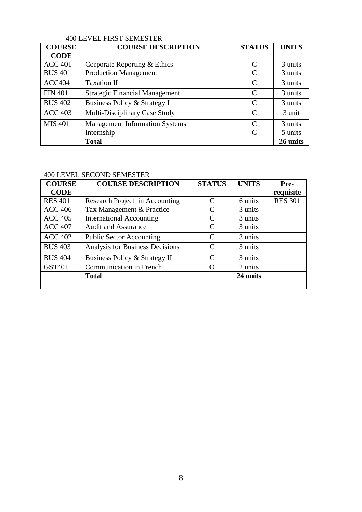# 400 LEVEL FIRST SEMESTER

| <b>COURSE</b>  | <b>COURSE DESCRIPTION</b>             | <b>STATUS</b> | <b>UNITS</b> |
|----------------|---------------------------------------|---------------|--------------|
| <b>CODE</b>    |                                       |               |              |
| <b>ACC 401</b> | Corporate Reporting & Ethics          | C             | 3 units      |
| <b>BUS 401</b> | <b>Production Management</b>          | C             | 3 units      |
| ACC404         | Taxation II                           | C             | 3 units      |
| <b>FIN 401</b> | <b>Strategic Financial Management</b> | $\mathcal{C}$ | 3 units      |
| <b>BUS 402</b> | Business Policy & Strategy I          | $\mathcal{C}$ | 3 units      |
| <b>ACC 403</b> | Multi-Disciplinary Case Study         | C             | 3 unit       |
| <b>MIS 401</b> | <b>Management Information Systems</b> | $\mathcal{C}$ | 3 units      |
|                | Internship                            | C             | 5 units      |
|                | <b>Total</b>                          |               | 26 units     |

### 400 LEVEL SECOND SEMESTER

| <b>COURSE</b>  | <b>COURSE DESCRIPTION</b>       | <b>STATUS</b>               | <b>UNITS</b> | Pre-           |
|----------------|---------------------------------|-----------------------------|--------------|----------------|
| <b>CODE</b>    |                                 |                             |              | requisite      |
| <b>RES 401</b> | Research Project in Accounting  | $\mathcal{C}$               | 6 units      | <b>RES 301</b> |
| <b>ACC 406</b> | Tax Management & Practice       | $\mathcal{C}_{\mathcal{C}}$ | 3 units      |                |
| <b>ACC 405</b> | <b>International Accounting</b> | $\mathcal{C}_{\mathcal{C}}$ | 3 units      |                |
| <b>ACC 407</b> | <b>Audit and Assurance</b>      | C                           | 3 units      |                |
| <b>ACC 402</b> | <b>Public Sector Accounting</b> | $\mathcal{C}$               | 3 units      |                |
| <b>BUS 403</b> | Analysis for Business Decisions | $\mathsf{C}$                | 3 units      |                |
| <b>BUS 404</b> | Business Policy & Strategy II   | $\mathcal{C}_{\mathcal{C}}$ | 3 units      |                |
| GST401         | Communication in French         | $\left( \right)$            | 2 units      |                |
|                | <b>Total</b>                    |                             | 24 units     |                |
|                |                                 |                             |              |                |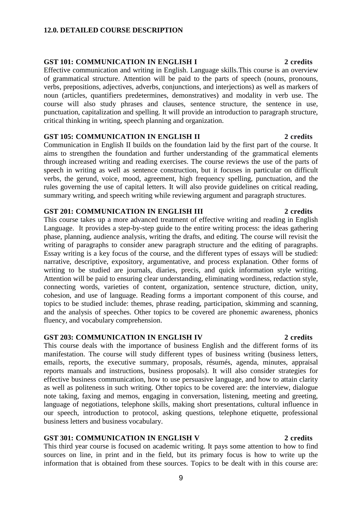### **12.0. DETAILED COURSE DESCRIPTION**

### **GST 101: COMMUNICATION IN ENGLISH I 2 credits**

Effective communication and writing in English. Language skills.This course is an overview of grammatical structure. Attention will be paid to the parts of speech (nouns, pronouns, verbs, prepositions, adjectives, adverbs, conjunctions, and interjections) as well as markers of noun (articles, quantifiers predetermines, demonstratives) and modality in verb use. The course will also study phrases and clauses, sentence structure, the sentence in use, punctuation, capitalization and spelling. It will provide an introduction to paragraph structure, critical thinking in writing, speech planning and organization.

### **GST 105: COMMUNICATION IN ENGLISH II 2 credits**

Communication in English II builds on the foundation laid by the first part of the course. It aims to strengthen the foundation and further understanding of the grammatical elements through increased writing and reading exercises. The course reviews the use of the parts of speech in writing as well as sentence construction, but it focuses in particular on difficult verbs, the gerund, voice, mood, agreement, high frequency spelling, punctuation, and the rules governing the use of capital letters. It will also provide guidelines on critical reading, summary writing, and speech writing while reviewing argument and paragraph structures.

### **GST 201: COMMUNICATION IN ENGLISH III 2 credits**

This course takes up a more advanced treatment of effective writing and reading in English Language. It provides a step-by-step guide to the entire writing process: the ideas gathering phase, planning, audience analysis, writing the drafts, and editing. The course will revisit the writing of paragraphs to consider anew paragraph structure and the editing of paragraphs. Essay writing is a key focus of the course, and the different types of essays will be studied: narrative, descriptive, expository, argumentative, and process explanation. Other forms of writing to be studied are journals, diaries, precis, and quick information style writing. Attention will be paid to ensuring clear understanding, eliminating wordiness, redaction style, connecting words, varieties of content, organization, sentence structure, diction, unity, cohesion, and use of language. Reading forms a important component of this course, and topics to be studied include: themes, phrase reading, participation, skimming and scanning, and the analysis of speeches. Other topics to be covered are phonemic awareness, phonics fluency, and vocabulary comprehension.

## **GST 203: COMMUNICATION IN ENGLISH IV 2 credits**

This course deals with the importance of business English and the different forms of its manifestation. The course will study different types of business writing (business letters, emails, reports, the executive summary, proposals, résumés, agenda, minutes, appraisal reports manuals and instructions, business proposals). It will also consider strategies for effective business communication, how to use persuasive language, and how to attain clarity as well as politeness in such writing. Other topics to be covered are: the interview, dialogue note taking, faxing and memos, engaging in conversation, listening, meeting and greeting, language of negotiations, telephone skills, making short presentations, cultural influence in our speech, introduction to protocol, asking questions, telephone etiquette, professional business letters and business vocabulary.

### **GST 301: COMMUNICATION IN ENGLISH V 2 credits**

This third year course is focused on academic writing. It pays some attention to how to find sources on line, in print and in the field, but its primary focus is how to write up the information that is obtained from these sources. Topics to be dealt with in this course are:

9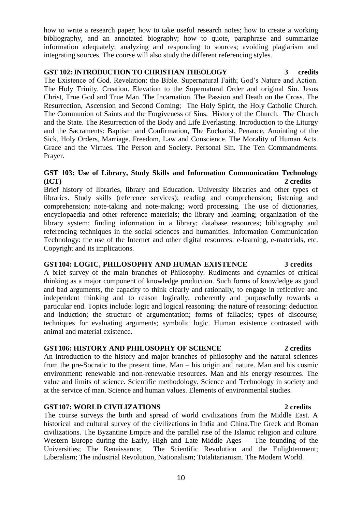10

**GST107: WORLD CIVILIZATIONS 2 credits** The course surveys the birth and spread of world civilizations from the Middle East. A historical and cultural survey of the civilizations in India and China.The Greek and Roman civilizations. The Byzantine Empire and the parallel rise of the Islamic religion and culture. Western Europe during the Early, High and Late Middle Ages - The founding of the Universities; The Renaissance; The Scientific Revolution and the Enlightenment; Liberalism; The industrial Revolution, Nationalism; Totalitarianism. The Modern World.

particular end. Topics include: logic and logical reasoning: the nature of reasoning: deduction and induction; the structure of argumentation; forms of fallacies; types of discourse; techniques for evaluating arguments; symbolic logic. Human existence contrasted with animal and material existence. **GST106: HISTORY AND PHILOSOPHY OF SCIENCE 2 credits** An introduction to the history and major branches of philosophy and the natural sciences

### and bad arguments, the capacity to think clearly and rationally, to engage in reflective and independent thinking and to reason logically, coherently and purposefully towards a

comprehension; note-taking and note-making; word processing. The use of dictionaries, encyclopaedia and other reference materials; the library and learning; organization of the library system; finding information in a library; database resources; bibliography and referencing techniques in the social sciences and humanities. Information Communication Technology: the use of the Internet and other digital resources: e-learning, e-materials, etc. Copyright and its implications.

### **GST 103: Use of Library, Study Skills and Information Communication Technology (ICT) 2 credits** Brief history of libraries, library and Education. University libraries and other types of

libraries. Study skills (reference services); reading and comprehension; listening and

The Existence of God. Revelation: the Bible. Supernatural Faith; God's Nature and Action. The Holy Trinity. Creation. Elevation to the Supernatural Order and original Sin. Jesus Christ, True God and True Man. The Incarnation. The Passion and Death on the Cross. The Resurrection, Ascension and Second Coming; The Holy Spirit, the Holy Catholic Church. The Communion of Saints and the Forgiveness of Sins. History of the Church. The Church and the State. The Resurrection of the Body and Life Everlasting. Introduction to the Liturgy and the Sacraments: Baptism and Confirmation, The Eucharist, Penance, Anointing of the Sick, Holy Orders, Marriage. Freedom, Law and Conscience. The Morality of Human Acts. Grace and the Virtues. The Person and Society. Personal Sin. The Ten Commandments. Prayer.

# **GST 102: INTRODUCTION TO CHRISTIAN THEOLOGY 3 credits**

bibliography, and an annotated biography; how to quote, paraphrase and summarize information adequately; analyzing and responding to sources; avoiding plagiarism and integrating sources. The course will also study the different referencing styles.

how to write a research paper; how to take useful research notes; how to create a working

# **GST104: LOGIC, PHILOSOPHY AND HUMAN EXISTENCE 3 credits**

# from the pre-Socratic to the present time. Man – his origin and nature. Man and his cosmic

### A brief survey of the main branches of Philosophy. Rudiments and dynamics of critical thinking as a major component of knowledge production. Such forms of knowledge as good

### environment: renewable and non-renewable resources. Man and his energy resources. The value and limits of science. Scientific methodology. Science and Technology in society and at the service of man. Science and human values. Elements of environmental studies.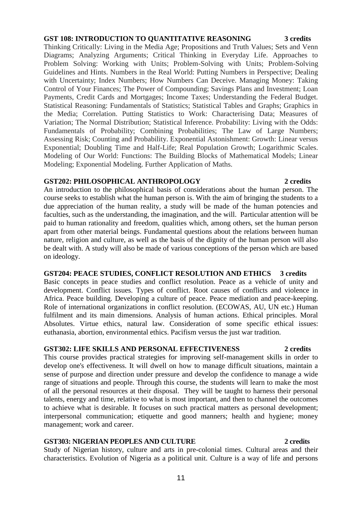# **GST 108: INTRODUCTION TO QUANTITATIVE REASONING 3 credits**

Thinking Critically: Living in the Media Age; Propositions and Truth Values; Sets and Venn Diagrams; Analyzing Arguments; Critical Thinking in Everyday Life. Approaches to Problem Solving: Working with Units; Problem-Solving with Units; Problem-Solving Guidelines and Hints. Numbers in the Real World: Putting Numbers in Perspective; Dealing with Uncertainty; Index Numbers; How Numbers Can Deceive. Managing Money: Taking Control of Your Finances; The Power of Compounding; Savings Plans and Investment; Loan Payments, Credit Cards and Mortgages; Income Taxes; Understanding the Federal Budget. Statistical Reasoning: Fundamentals of Statistics; Statistical Tables and Graphs; Graphics in the Media; Correlation. Putting Statistics to Work: Characterising Data; Measures of Variation; The Normal Distribution; Statistical Inference. Probability: Living with the Odds: Fundamentals of Probability; Combining Probabilities; The Law of Large Numbers; Assessing Risk; Counting and Probability. Exponential Astonishment: Growth: Linear versus Exponential; Doubling Time and Half-Life; Real Population Growth; Logarithmic Scales. Modeling of Our World: Functions: The Building Blocks of Mathematical Models; Linear Modeling; Exponential Modeling. Further Application of Maths.

# **GST202: PHILOSOPHICAL ANTHROPOLOGY 2 credits**

An introduction to the philosophical basis of considerations about the human person. The course seeks to establish what the human person is. With the aim of bringing the students to a due appreciation of the human reality, a study will be made of the human potencies and faculties, such as the understanding, the imagination, and the will. Particular attention will be paid to human rationality and freedom, qualities which, among others, set the human person apart from other material beings. Fundamental questions about the relations between human nature, religion and culture, as well as the basis of the dignity of the human person will also be dealt with. A study will also be made of various conceptions of the person which are based on ideology.

# **GST204: PEACE STUDIES, CONFLICT RESOLUTION AND ETHICS 3 credits**

Basic concepts in peace studies and conflict resolution. Peace as a vehicle of unity and development. Conflict issues. Types of conflict. Root causes of conflicts and violence in Africa. Peace building. Developing a culture of peace. Peace mediation and peace-keeping. Role of international organizations in conflict resolution. (ECOWAS, AU, UN etc.) Human fulfilment and its main dimensions. Analysis of human actions. Ethical principles. Moral Absolutes. Virtue ethics, natural law. Consideration of some specific ethical issues: euthanasia, abortion, environmental ethics. Pacifism versus the just war tradition.

# **GST302: LIFE SKILLS AND PERSONAL EFFECTIVENESS 2 credits**

This course provides practical strategies for improving self-management skills in order to develop one's effectiveness. It will dwell on how to manage difficult situations, maintain a sense of purpose and direction under pressure and develop the confidence to manage a wide range of situations and people. Through this course, the students will learn to make the most of all the personal resources at their disposal. They will be taught to harness their personal talents, energy and time, relative to what is most important, and then to channel the outcomes to achieve what is desirable. It focuses on such practical matters as personal development; interpersonal communication; etiquette and good manners; health and hygiene; money management; work and career.

# **GST303: NIGERIAN PEOPLES AND CULTURE 2 credits**

Study of Nigerian history, culture and arts in pre-colonial times. Cultural areas and their characteristics. Evolution of Nigeria as a political unit. Culture is a way of life and persons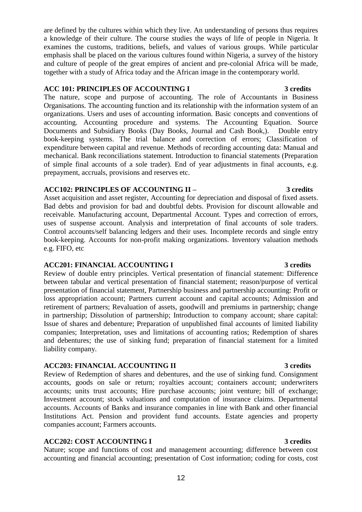12

are defined by the cultures within which they live. An understanding of persons thus requires a knowledge of their culture. The course studies the ways of life of people in Nigeria. It examines the customs, traditions, beliefs, and values of various groups. While particular emphasis shall be placed on the various cultures found within Nigeria, a survey of the history and culture of people of the great empires of ancient and pre-colonial Africa will be made, together with a study of Africa today and the African image in the contemporary world.

# **ACC 101: PRINCIPLES OF ACCOUNTING I 3 credits**

The nature, scope and purpose of accounting. The role of Accountants in Business Organisations. The accounting function and its relationship with the information system of an organizations. Users and uses of accounting information. Basic concepts and conventions of accounting. Accounting procedure and systems. The Accounting Equation. Source Documents and Subsidiary Books (Day Books, Journal and Cash Book,). Double entry book-keeping systems. The trial balance and correction of errors; Classification of expenditure between capital and revenue. Methods of recording accounting data: Manual and mechanical. Bank reconciliations statement. Introduction to financial statements (Preparation of simple final accounts of a sole trader). End of year adjustments in final accounts, e.g. prepayment, accruals, provisions and reserves etc.

# **ACC102: PRINCIPLES OF ACCOUNTING II – 3 credits**

Asset acquisition and asset register, Accounting for depreciation and disposal of fixed assets. Bad debts and provision for bad and doubtful debts. Provision for discount allowable and receivable. Manufacturing account, Departmental Account. Types and correction of errors, uses of suspense account. Analysis and interpretation of final accounts of sole traders. Control accounts/self balancing ledgers and their uses. Incomplete records and single entry book-keeping. Accounts for non-profit making organizations. Inventory valuation methods e.g. FIFO, etc

# **ACC201: FINANCIAL ACCOUNTING I 3 credits**

Review of double entry principles. Vertical presentation of financial statement: Difference between tabular and vertical presentation of financial statement; reason/purpose of vertical presentation of financial statement, Partnership business and partnership accounting: Profit or loss appropriation account; Partners current account and capital accounts; Admission and retirement of partners; Revaluation of assets, goodwill and premiums in partnership; change in partnership; Dissolution of partnership; Introduction to company account; share capital: Issue of shares and debenture; Preparation of unpublished final accounts of limited liability companies; Interpretation, uses and limitations of accounting ratios; Redemption of shares and debentures; the use of sinking fund; preparation of financial statement for a limited liability company.

# **ACC203: FINANCIAL ACCOUNTING II 3 credits**

Review of Redemption of shares and debentures, and the use of sinking fund. Consignment accounts, goods on sale or return; royalties account; containers account; underwriters accounts; units trust accounts; Hire purchase accounts; joint venture; bill of exchange; Investment account; stock valuations and computation of insurance claims. Departmental accounts. Accounts of Banks and insurance companies in line with Bank and other financial Institutions Act. Pension and provident fund accounts. Estate agencies and property companies account; Farmers accounts.

# **ACC202: COST ACCOUNTING I 3 credits**

Nature; scope and functions of cost and management accounting; difference between cost accounting and financial accounting; presentation of Cost information; coding for costs, cost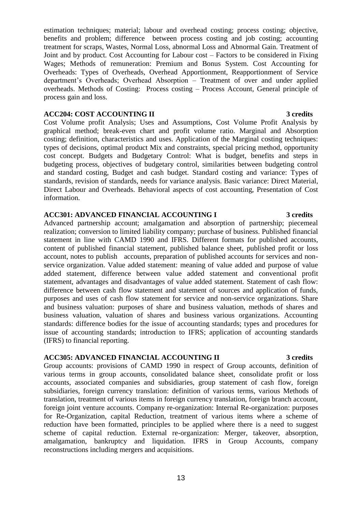estimation techniques; material; labour and overhead costing; process costing; objective, benefits and problem; difference between process costing and job costing; accounting treatment for scraps, Wastes, Normal Loss, abnormal Loss and Abnormal Gain. Treatment of Joint and by product. Cost Accounting for Labour cost – Factors to be considered in Fixing Wages; Methods of remuneration: Premium and Bonus System. Cost Accounting for Overheads: Types of Overheads, Overhead Apportionment, Reapportionment of Service department's Overheads; Overhead Absorption – Treatment of over and under applied overheads. Methods of Costing: Process costing – Process Account, General principle of process gain and loss.

### **ACC204: COST ACCOUNTING II 3 credits**

Cost Volume profit Analysis; Uses and Assumptions, Cost Volume Profit Analysis by graphical method; break-even chart and profit volume ratio. Marginal and Absorption costing; definition, characteristics and uses. Application of the Marginal costing techniques: types of decisions, optimal product Mix and constraints, special pricing method, opportunity cost concept. Budgets and Budgetary Control: What is budget, benefits and steps in budgeting process, objectives of budgetary control, similarities between budgeting control and standard costing, Budget and cash budget. Standard costing and variance: Types of standards, revision of standards, needs for variance analysis. Basic variance: Direct Material, Direct Labour and Overheads. Behavioral aspects of cost accounting, Presentation of Cost information.

## **ACC301: ADVANCED FINANCIAL ACCOUNTING I 3 credits**

Advanced partnership account; amalgamation and absorption of partnership; piecemeal realization; conversion to limited liability company; purchase of business. Published financial statement in line with CAMD 1990 and IFRS. Different formats for published accounts, content of published financial statement, published balance sheet, published profit or loss account, notes to publish accounts, preparation of published accounts for services and nonservice organization. Value added statement: meaning of value added and purpose of value added statement, difference between value added statement and conventional profit statement, advantages and disadvantages of value added statement. Statement of cash flow: difference between cash flow statement and statement of sources and application of funds, purposes and uses of cash flow statement for service and non-service organizations. Share and business valuation: purposes of share and business valuation, methods of shares and business valuation, valuation of shares and business various organizations. Accounting standards: difference bodies for the issue of accounting standards; types and procedures for issue of accounting standards; introduction to IFRS; application of accounting standards (IFRS) to financial reporting.

# **ACC305: ADVANCED FINANCIAL ACCOUNTING II 3 credits**

Group accounts: provisions of CAMD 1990 in respect of Group accounts, definition of various terms in group accounts, consolidated balance sheet, consolidate profit or loss accounts, associated companies and subsidiaries, group statement of cash flow, foreign subsidiaries, foreign currency translation: definition of various terms, various Methods of translation, treatment of various items in foreign currency translation, foreign branch account, foreign joint venture accounts. Company re-organization: Internal Re-organization: purposes for Re-Organization, capital Reduction, treatment of various items where a scheme of reduction have been formatted, principles to be applied where there is a need to suggest scheme of capital reduction. External re-organization: Merger, takeover, absorption, amalgamation, bankruptcy and liquidation. IFRS in Group Accounts, company reconstructions including mergers and acquisitions.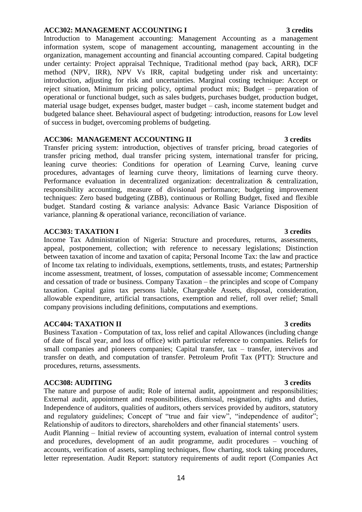### **ACC302: MANAGEMENT ACCOUNTING I 3 credits**

Introduction to Management accounting: Management Accounting as a management information system, scope of management accounting, management accounting in the organization, management accounting and financial accounting compared. Capital budgeting under certainty: Project appraisal Technique, Traditional method (pay back, ARR), DCF method (NPV, IRR), NPV Vs IRR, capital budgeting under risk and uncertainty: introduction, adjusting for risk and uncertainties. Marginal costing technique: Accept or reject situation, Minimum pricing policy, optimal product mix; Budget – preparation of operational or functional budget, such as sales budgets, purchases budget, production budget, material usage budget, expenses budget, master budget – cash, income statement budget and budgeted balance sheet. Behavioural aspect of budgeting: introduction, reasons for Low level of success in budget, overcoming problems of budgeting.

### **ACC306: MANAGEMENT ACCOUNTING II 3 credits**

Transfer pricing system: introduction, objectives of transfer pricing, broad categories of transfer pricing method, dual transfer pricing system, international transfer for pricing, leaning curve theories: Conditions for operation of Learning Curve, leaning curve procedures, advantages of learning curve theory, limitations of learning curve theory. Performance evaluation in decentralized organization: decentralization & centralization, responsibility accounting, measure of divisional performance; budgeting improvement techniques: Zero based budgeting (ZBB), continuous or Rolling Budget, fixed and flexible budget. Standard costing & variance analysis: Advance Basic Variance Disposition of variance, planning & operational variance, reconciliation of variance.

### **ACC303: TAXATION I 3 credits**

Income Tax Administration of Nigeria: Structure and procedures, returns, assessments, appeal, postponement, collection; with reference to necessary legislations; Distinction between taxation of income and taxation of capita; Personal Income Tax: the law and practice of Income tax relating to individuals, exemptions, settlements, trusts, and estates; Partnership income assessment, treatment, of losses, computation of assessable income; Commencement and cessation of trade or business. Company Taxation – the principles and scope of Company taxation. Capital gains tax persons liable, Chargeable Assets, disposal, consideration, allowable expenditure, artificial transactions, exemption and relief, roll over relief; Small company provisions including definitions, computations and exemptions.

### **ACC404: TAXATION II 3 credits**

Business Taxation - Computation of tax, loss relief and capital Allowances (including change of date of fiscal year, and loss of office) with particular reference to companies. Reliefs for small companies and pioneers companies; Capital transfer, tax – transfer, intervivos and transfer on death, and computation of transfer. Petroleum Profit Tax (PTT): Structure and procedures, returns, assessments.

### **ACC308: AUDITING 3 credits**

The nature and purpose of audit; Role of internal audit, appointment and responsibilities; External audit, appointment and responsibilities, dismissal, resignation, rights and duties, Independence of auditors, qualities of auditors, others services provided by auditors, statutory and regulatory guidelines; Concept of "true and fair view", "independence of auditor"; Relationship of auditors to directors, shareholders and other financial statements' users.

Audit Planning – Initial review of accounting system, evaluation of internal control system and procedures, development of an audit programme, audit procedures – vouching of accounts, verification of assets, sampling techniques, flow charting, stock taking procedures, letter representation. Audit Report: statutory requirements of audit report (Companies Act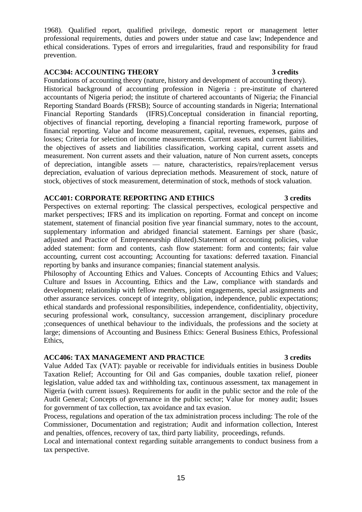1968). Qualified report, qualified privilege, domestic report or management letter professional requirements, duties and powers under statue and case law; Independence and ethical considerations. Types of errors and irregularities, fraud and responsibility for fraud prevention.

## **ACC304: ACCOUNTING THEORY 3 credits**

Foundations of accounting theory (nature, history and development of accounting theory). Historical background of accounting profession in Nigeria : pre-institute of chartered accountants of Nigeria period; the institute of chartered accountants of Nigeria; the Financial Reporting Standard Boards (FRSB); Source of accounting standards in Nigeria; International Financial Reporting Standards (IFRS).Conceptual consideration in financial reporting, objectives of financial reporting, developing a financial reporting framework, purpose of financial reporting. Value and Income measurement, capital, revenues, expenses, gains and losses; Criteria for selection of income measurements. Current assets and current liabilities, the objectives of assets and liabilities classification, working capital, current assets and measurement. Non current assets and their valuation, nature of Non current assets, concepts of depreciation, intangible assets — nature, characteristics, repairs/replacement versus depreciation, evaluation of various depreciation methods. Measurement of stock, nature of stock, objectives of stock measurement, determination of stock, methods of stock valuation.

# **ACC401: CORPORATE REPORTING AND ETHICS 3 credits**

Perspectives on external reporting: The classical perspectives, ecological perspective and market perspectives; IFRS and its implication on reporting. Format and concept on income statement, statement of financial position five year financial summary, notes to the account, supplementary information and abridged financial statement. Earnings per share (basic, adjusted and Practice of Entrepreneurship diluted).Statement of accounting policies, value added statement: form and contents, cash flow statement: form and contents; fair value accounting, current cost accounting; Accounting for taxations: deferred taxation. Financial reporting by banks and insurance companies; financial statement analysis.

Philosophy of Accounting Ethics and Values. Concepts of Accounting Ethics and Values; Culture and Issues in Accounting, Ethics and the Law, compliance with standards and development; relationship with fellow members, joint engagements, special assignments and other assurance services. concept of integrity, obligation, independence, public expectations; ethical standards and professional responsibilities, independence, confidentiality, objectivity, securing professional work, consultancy, succession arrangement, disciplinary procedure ;consequences of unethical behaviour to the individuals, the professions and the society at large; dimensions of Accounting and Business Ethics: General Business Ethics, Professional Ethics,

# **ACC406: TAX MANAGEMENT AND PRACTICE 3 credits**

Value Added Tax (VAT): payable or receivable for individuals entities in business Double Taxation Relief; Accounting for Oil and Gas companies, double taxation relief, pioneer legislation, value added tax and withholding tax, continuous assessment, tax management in Nigeria (with current issues). Requirements for audit in the public sector and the role of the Audit General; Concepts of governance in the public sector; Value for money audit; Issues for government of tax collection, tax avoidance and tax evasion.

Process, regulations and operation of the tax administration process including: The role of the Commissioner, Documentation and registration; Audit and information collection, Interest and penalties, offences, recovery of tax, third party liability, proceedings, refunds.

Local and international context regarding suitable arrangements to conduct business from a tax perspective.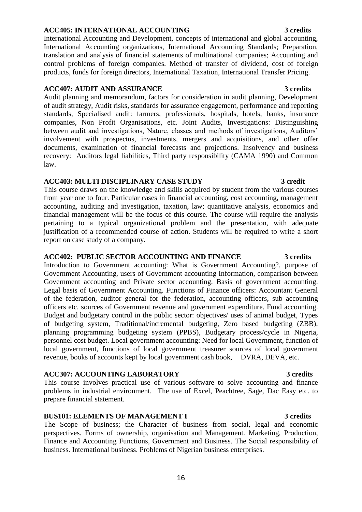### 16

# **ACC405: INTERNATIONAL ACCOUNTING 3 credits**

International Accounting and Development, concepts of international and global accounting, International Accounting organizations, International Accounting Standards; Preparation, translation and analysis of financial statements of multinational companies; Accounting and control problems of foreign companies. Method of transfer of dividend, cost of foreign products, funds for foreign directors, International Taxation, International Transfer Pricing.

## **ACC407: AUDIT AND ASSURANCE 3 credits**

Audit planning and memorandum, factors for consideration in audit planning, Development of audit strategy, Audit risks, standards for assurance engagement, performance and reporting standards, Specialised audit: farmers, professionals, hospitals, hotels, banks, insurance companies, Non Profit Organisations, etc. Joint Audits, Investigations: Distinguishing between audit and investigations, Nature, classes and methods of investigations, Auditors' involvement with prospectus, investments, mergers and acquisitions, and other offer documents, examination of financial forecasts and projections. Insolvency and business recovery: Auditors legal liabilities, Third party responsibility (CAMA 1990) and Common law.

# **ACC403: MULTI DISCIPLINARY CASE STUDY 3 credit**

This course draws on the knowledge and skills acquired by student from the various courses from year one to four. Particular cases in financial accounting, cost accounting, management accounting, auditing and investigation, taxation, law; quantitative analysis, economics and financial management will be the focus of this course. The course will require the analysis pertaining to a typical organizational problem and the presentation, with adequate justification of a recommended course of action. Students will be required to write a short report on case study of a company.

### **ACC402: PUBLIC SECTOR ACCOUNTING AND FINANCE 3 credits**

Introduction to Government accounting: What is Government Accounting?, purpose of Government Accounting, users of Government accounting Information, comparison between Government accounting and Private sector accounting. Basis of government accounting. Legal basis of Government Accounting. Functions of Finance officers: Accountant General of the federation, auditor general for the federation, accounting officers, sub accounting officers etc. sources of Government revenue and government expenditure. Fund accounting. Budget and budgetary control in the public sector: objectives/ uses of animal budget, Types of budgeting system, Traditional/incremental budgeting, Zero based budgeting (ZBB), planning programming budgeting system (PPBS), Budgetary process/cycle in Nigeria, personnel cost budget. Local government accounting: Need for local Government, function of local government, functions of local government treasurer sources of local government revenue, books of accounts kept by local government cash book, DVRA, DEVA, etc.

# **ACC307: ACCOUNTING LABORATORY 3 credits**

This course involves practical use of various software to solve accounting and finance problems in industrial environment. The use of Excel, Peachtree, Sage, Dac Easy etc. to prepare financial statement.

# **BUS101: ELEMENTS OF MANAGEMENT I 3 credits**

The Scope of business; the Character of business from social, legal and economic perspectives. Forms of ownership, organisation and Management. Marketing, Production, Finance and Accounting Functions, Government and Business. The Social responsibility of business. International business. Problems of Nigerian business enterprises.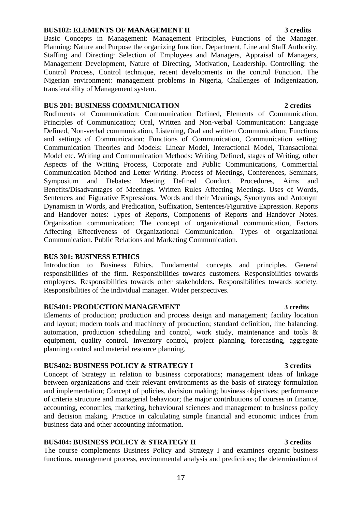### **BUS102: ELEMENTS OF MANAGEMENT II 3 credits**

Basic Concepts in Management: Management Principles, Functions of the Manager. Planning: Nature and Purpose the organizing function, Department, Line and Staff Authority, Staffing and Directing: Selection of Employees and Managers, Appraisal of Managers, Management Development, Nature of Directing, Motivation, Leadership. Controlling: the Control Process, Control technique, recent developments in the control Function. The Nigerian environment: management problems in Nigeria, Challenges of Indigenization, transferability of Management system.

### **BUS 201: BUSINESS COMMUNICATION 2 credits**

Rudiments of Communication: Communication Defined, Elements of Communication, Principles of Communication; Oral, Written and Non-verbal Communication: Language Defined, Non-verbal communication, Listening, Oral and written Communication; Functions and settings of Communication: Functions of Communication, Communication setting; Communication Theories and Models: Linear Model, Interactional Model, Transactional Model etc. Writing and Communication Methods: Writing Defined, stages of Writing, other Aspects of the Writing Process, Corporate and Public Communications, Commercial Communication Method and Letter Writing. Process of Meetings, Conferences, Seminars, Symposium and Debates: Meeting Defined Conduct, Procedures, Aims and Benefits/Disadvantages of Meetings. Written Rules Affecting Meetings. Uses of Words, Sentences and Figurative Expressions, Words and their Meanings, Synonyms and Antonym Dynamism in Words, and Predication, Suffixation, Sentences/Figurative Expression. Reports and Handover notes: Types of Reports, Components of Reports and Handover Notes. Organization communication: The concept of organizational communication, Factors Affecting Effectiveness of Organizational Communication. Types of organizational Communication. Public Relations and Marketing Communication.

### **BUS 301: BUSINESS ETHICS**

Introduction to Business Ethics. Fundamental concepts and principles. General responsibilities of the firm. Responsibilities towards customers. Responsibilities towards employees. Responsibilities towards other stakeholders. Responsibilities towards society. Responsibilities of the individual manager. Wider perspectives.

### **BUS401: PRODUCTION MANAGEMENT 3 credits**

Elements of production; production and process design and management; facility location and layout; modern tools and machinery of production; standard definition, line balancing, automation, production scheduling and control, work study, maintenance and tools & equipment, quality control. Inventory control, project planning, forecasting, aggregate planning control and material resource planning.

## **BUS402: BUSINESS POLICY & STRATEGY I 3 credits**

Concept of Strategy in relation to business corporations; management ideas of linkage between organizations and their relevant environments as the basis of strategy formulation and implementation; Concept of policies, decision making; business objectives; performance of criteria structure and managerial behaviour; the major contributions of courses in finance, accounting, economics, marketing, behavioural sciences and management to business policy and decision making. Practice in calculating simple financial and economic indices from business data and other accounting information.

### **BUS404: BUSINESS POLICY & STRATEGY II 3 credits**

The course complements Business Policy and Strategy I and examines organic business functions, management process, environmental analysis and predictions; the determination of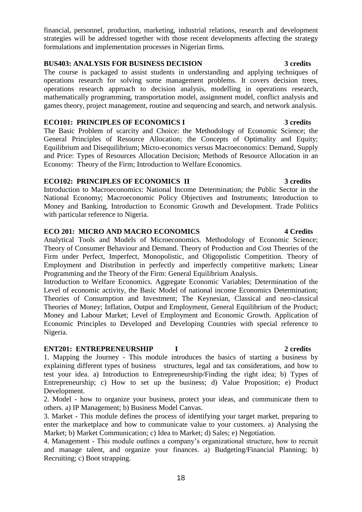financial, personnel, production, marketing, industrial relations, research and development strategies will be addressed together with those recent developments affecting the strategy formulations and implementation processes in Nigerian firms.

### **BUS403: ANALYSIS FOR BUSINESS DECISION 3 credits**

The course is packaged to assist students in understanding and applying techniques of operations research for solving some management problems. It covers decision trees, operations research approach to decision analysis, modelling in operations research, mathematically programming, transportation model, assignment model, conflict analysis and games theory, project management, routine and sequencing and search, and network analysis.

### **ECO101: PRINCIPLES OF ECONOMICS I 3 credits**

The Basic Problem of scarcity and Choice: the Methodology of Economic Science; the General Principles of Resource Allocation; the Concepts of Optimality and Equity; Equilibrium and Disequilibrium; Micro-economics versus Macroeconomics: Demand, Supply and Price: Types of Resources Allocation Decision; Methods of Resource Allocation in an Economy: Theory of the Firm; Introduction to Welfare Economics.

## **ECO102: PRINCIPLES OF ECONOMICS II 3 credits**

Introduction to Macroeconomics: National Income Determination; the Public Sector in the National Economy; Macroeconomic Policy Objectives and Instruments; Introduction to Money and Banking, Introduction to Economic Growth and Development. Trade Politics with particular reference to Nigeria.

# **ECO 201: MICRO AND MACRO ECONOMICS 4 Credits**

Analytical Tools and Models of Microeconomics. Methodology of Economic Science; Theory of Consumer Behaviour and Demand. Theory of Production and Cost Theories of the Firm under Perfect, Imperfect, Monopolistic, and Oligopolistic Competition. Theory of Employment and Distribution in perfectly and imperfectly competitive markets; Linear Programming and the Theory of the Firm: General Equilibrium Analysis.

Introduction to Welfare Economics. Aggregate Economic Variables; Determination of the Level of economic activity, the Basic Model of national income Economics Determination; Theories of Consumption and Investment; The Keynesian, Classical and neo-classical Theories of Money; Inflation, Output and Employment, General Equilibrium of the Product; Money and Labour Market; Level of Employment and Economic Growth. Application of Economic Principles to Developed and Developing Countries with special reference to Nigeria.

# **ENT201: ENTREPRENEURSHIP I 2 credits**

1. Mapping the Journey - This module introduces the basics of starting a business by explaining different types of business structures, legal and tax considerations, and how to test your idea. a) Introduction to Entrepreneurship/Finding the right idea; b) Types of Entrepreneurship; c) How to set up the business; d) Value Proposition; e) Product Development.

2. Model - how to organize your business, protect your ideas, and communicate them to others. a) IP Management; b) Business Model Canvas.

3. Market - This module defines the process of identifying your target market, preparing to enter the marketplace and how to communicate value to your customers. a) Analysing the Market; b) Market Communication; c) Idea to Market; d) Sales; e) Negotiation.

4. Management - This module outlines a company's organizational structure, how to recruit and manage talent, and organize your finances. a) Budgeting/Financial Planning; b) Recruiting; c) Boot strapping.

### 18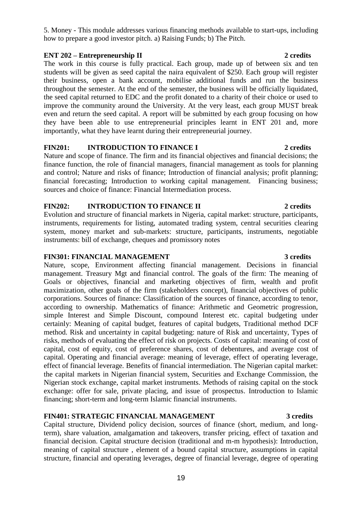5. Money - This module addresses various financing methods available to start-ups, including how to prepare a good investor pitch. a) Raising Funds; b) The Pitch.

# **ENT 202 – Entrepreneurship II** 2 credits

The work in this course is fully practical. Each group, made up of between six and ten students will be given as seed capital the naira equivalent of \$250. Each group will register their business, open a bank account, mobilise additional funds and run the business throughout the semester. At the end of the semester, the business will be officially liquidated, the seed capital returned to EDC and the profit donated to a charity of their choice or used to improve the community around the University. At the very least, each group MUST break even and return the seed capital. A report will be submitted by each group focusing on how they have been able to use entrepreneurial principles learnt in ENT 201 and, more importantly, what they have learnt during their entrepreneurial journey.

# **FIN201: INTRODUCTION TO FINANCE I 2 credits**

Nature and scope of finance. The firm and its financial objectives and financial decisions; the finance function, the role of financial managers, financial management as tools for planning and control; Nature and risks of finance; Introduction of financial analysis; profit planning; financial forecasting; Introduction to working capital management. Financing business; sources and choice of finance: Financial Intermediation process.

## **FIN202: INTRODUCTION TO FINANCE II 2 credits**

Evolution and structure of financial markets in Nigeria, capital market: structure, participants, instruments, requirements for listing, automated trading system, central securities clearing system, money market and sub-markets: structure, participants, instruments, negotiable instruments: bill of exchange, cheques and promissory notes

### **FIN301: FINANCIAL MANAGEMENT 3 credits**

Nature, scope, Environment affecting financial management. Decisions in financial management. Treasury Mgt and financial control. The goals of the firm: The meaning of Goals or objectives, financial and marketing objectives of firm, wealth and profit maximization, other goals of the firm (stakeholders concept), financial objectives of public corporations. Sources of finance: Classification of the sources of finance, according to tenor, according to ownership. Mathematics of finance: Arithmetic and Geometric progression, simple Interest and Simple Discount, compound Interest etc. capital budgeting under certainly: Meaning of capital budget, features of capital budgets, Traditional method DCF method. Risk and uncertainty in capital budgeting: nature of Risk and uncertainty, Types of risks, methods of evaluating the effect of risk on projects. Costs of capital: meaning of cost of capital, cost of equity, cost of preference shares, cost of debentures, and average cost of capital. Operating and financial average: meaning of leverage, effect of operating leverage, effect of financial leverage. Benefits of financial intermediation. The Nigerian capital market: the capital markets in Nigerian financial system, Securities and Exchange Commission, the Nigerian stock exchange, capital market instruments. Methods of raising capital on the stock exchange: offer for sale, private placing, and issue of prospectus. Introduction to Islamic financing; short-term and long-term Islamic financial instruments.

# **FIN401: STRATEGIC FINANCIAL MANAGEMENT 3 credits**

Capital structure, Dividend policy decision, sources of finance (short, medium, and longterm), share valuation, amalgamation and takeovers, transfer pricing, effect of taxation and financial decision. Capital structure decision (traditional and m-m hypothesis): Introduction, meaning of capital structure , element of a bound capital structure, assumptions in capital structure, financial and operating leverages, degree of financial leverage, degree of operating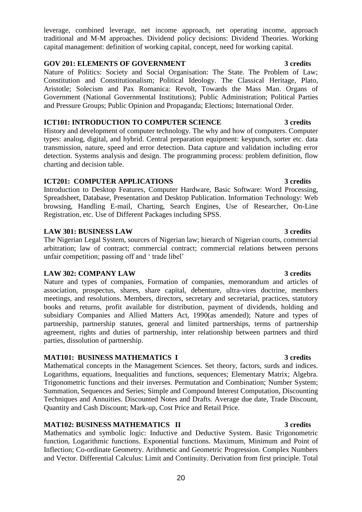20

leverage, combined leverage, net income approach, net operating income, approach traditional and M-M approaches. Dividend policy decisions: Dividend Theories. Working capital management: definition of working capital, concept, need for working capital.

## **GOV 201: ELEMENTS OF GOVERNMENT 3 credits**

Nature of Politics: Society and Social Organisation: The State. The Problem of Law; Constitution and Constitutionalism; Political Ideology. The Classical Heritage, Plato, Aristotle; Solecism and Pax Romanica: Revolt, Towards the Mass Man. Organs of Government (National Governmental Institutions); Public Administration; Political Parties and Pressure Groups; Public Opinion and Propaganda; Elections; International Order.

## **ICT101: INTRODUCTION TO COMPUTER SCIENCE 3 credits**

History and development of computer technology. The why and how of computers. Computer types: analog, digital, and hybrid. Central preparation equipment: keypunch, sorter etc. data transmission, nature, speed and error detection. Data capture and validation including error detection. Systems analysis and design. The programming process: problem definition, flow charting and decision table.

## **ICT201: COMPUTER APPLICATIONS** 3 credits

Introduction to Desktop Features, Computer Hardware, Basic Software: Word Processing, Spreadsheet, Database, Presentation and Desktop Publication. Information Technology: Web browsing, Handling E-mail, Charting, Search Engines, Use of Researcher, On-Line Registration, etc. Use of Different Packages including SPSS.

# **LAW 301: BUSINESS LAW 3 credits**

The Nigerian Legal System, sources of Nigerian law; hierarch of Nigerian courts, commercial arbitration; law of contract; commercial contract; commercial relations between persons unfair competition; passing off and ' trade libel'

# **LAW 302: COMPANY LAW 3 credits**

Nature and types of companies, Formation of companies, memorandum and articles of association, prospectus, shares, share capital, debenture, ultra-vires doctrine, members meetings, and resolutions. Members, directors, secretary and secretarial, practices, statutory books and returns, profit available for distribution, payment of dividends, holding and subsidiary Companies and Allied Matters Act, 1990(as amended); Nature and types of partnership, partnership statutes, general and limited partnerships, terms of partnership agreement, rights and duties of partnership, inter relationship between partners and third parties, dissolution of partnership.

# **MAT101: BUSINESS MATHEMATICS I 3 credits**

Mathematical concepts in the Management Sciences. Set theory, factors, surds and indices. Logarithms, equations, Inequalities and functions, sequences; Elementary Matrix; Algebra. Trigonometric functions and their inverses. Permutation and Combination; Number System; Summation, Sequences and Series; Simple and Compound Interest Computation, Discounting Techniques and Annuities. Discounted Notes and Drafts. Average due date, Trade Discount, Quantity and Cash Discount; Mark-up, Cost Price and Retail Price.

# **MAT102: BUSINESS MATHEMATICS II 3 credits**

Mathematics and symbolic logic: Inductive and Deductive System. Basic Trigonometric function, Logarithmic functions. Exponential functions. Maximum, Minimum and Point of Inflection; Co-ordinate Geometry. Arithmetic and Geometric Progression. Complex Numbers and Vector. Differential Calculus: Limit and Continuity. Derivation from first principle. Total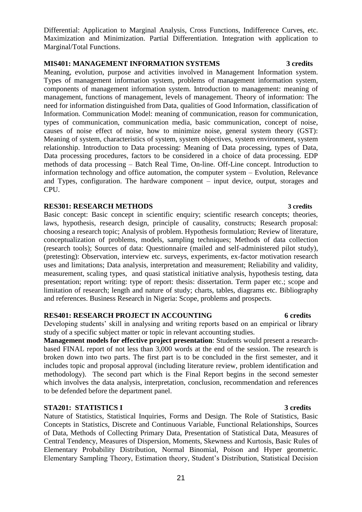Maximization and Minimization. Partial Differentiation. Integration with application to Marginal/Total Functions.

Differential: Application to Marginal Analysis, Cross Functions, Indifference Curves, etc.

# **MIS401: MANAGEMENT INFORMATION SYSTEMS** 3 credits

Meaning, evolution, purpose and activities involved in Management Information system. Types of management information system, problems of management information system, components of management information system. Introduction to management: meaning of management, functions of management, levels of management. Theory of information: The need for information distinguished from Data, qualities of Good Information, classification of Information. Communication Model: meaning of communication, reason for communication, types of communication, communication media, basic communication, concept of noise, causes of noise effect of noise, how to minimize noise, general system theory (GST): Meaning of system, characteristics of system, system objectives, system environment, system relationship. Introduction to Data processing: Meaning of Data processing, types of Data, Data processing procedures, factors to be considered in a choice of data processing. EDP methods of data processing – Batch Real Time, On-line. Off-Line concept. Introduction to information technology and office automation, the computer system – Evolution, Relevance and Types, configuration. The hardware component – input device, output, storages and CPU.

### **RES301: RESEARCH METHODS 3 credits**

Basic concept: Basic concept in scientific enquiry; scientific research concepts; theories, laws, hypothesis, research design, principle of causality, constructs; Research proposal: choosing a research topic; Analysis of problem. Hypothesis formulation; Review of literature, conceptualization of problems, models, sampling techniques; Methods of data collection (research tools); Sources of data: Questionnaire (mailed and self-administered pilot study), (pretesting): Observation, interview etc. surveys, experiments, ex-factor motivation research uses and limitations; Data analysis, interpretation and measurement; Reliability and validity, measurement, scaling types, and quasi statistical initiative analysis, hypothesis testing, data presentation; report writing: type of report: thesis: dissertation. Term paper etc.; scope and limitation of research; length and nature of study; charts, tables, diagrams etc. Bibliography and references. Business Research in Nigeria: Scope, problems and prospects.

### **RES401: RESEARCH PROJECT IN ACCOUNTING 6 credits**

Developing students' skill in analysing and writing reports based on an empirical or library study of a specific subject matter or topic in relevant accounting studies.

**Management models for effective project presentation**: Students would present a researchbased FINAL report of not less than 3,000 words at the end of the session. The research is broken down into two parts. The first part is to be concluded in the first semester, and it includes topic and proposal approval (including literature review, problem identification and methodology). The second part which is the Final Report begins in the second semester which involves the data analysis, interpretation, conclusion, recommendation and references to be defended before the department panel.

### **STA201: STATISTICS I** 3 credits

Nature of Statistics, Statistical Inquiries, Forms and Design. The Role of Statistics, Basic Concepts in Statistics, Discrete and Continuous Variable, Functional Relationships, Sources of Data, Methods of Collecting Primary Data, Presentation of Statistical Data, Measures of Central Tendency, Measures of Dispersion, Moments, Skewness and Kurtosis, Basic Rules of Elementary Probability Distribution, Normal Binomial, Poison and Hyper geometric. Elementary Sampling Theory, Estimation theory, Student's Distribution, Statistical Decision